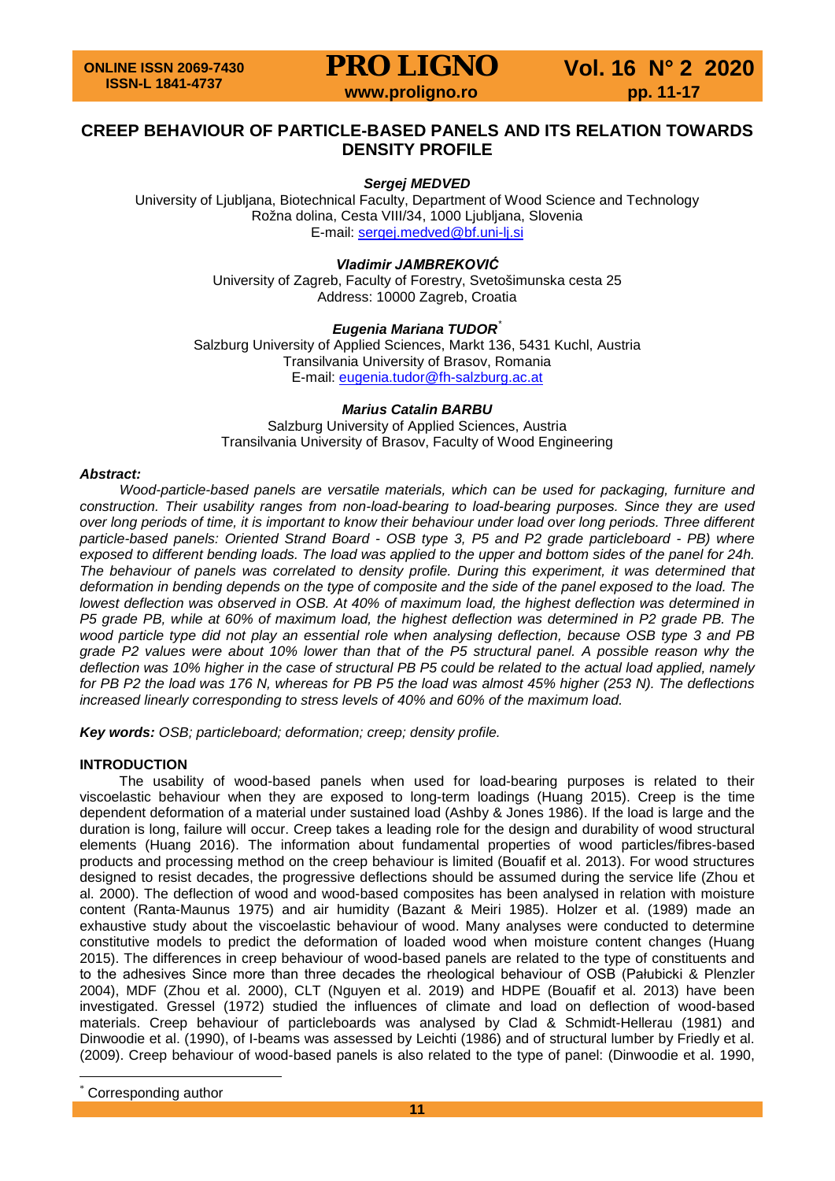## **CREEP BEHAVIOUR OF PARTICLE-BASED PANELS AND ITS RELATION TOWARDS DENSITY PROFILE**

## *Sergej MEDVED*

University of Ljubljana, Biotechnical Faculty, Department of Wood Science and Technology Rožna dolina, Cesta VIII/34, 1000 Ljubljana, Slovenia E-mail: [sergej.medved@bf.uni-lj.si](mailto:sergej.medved@bf.uni-lj.si)

## *Vladimir JAMBREKOVIĆ*

University of Zagreb, Faculty of Forestry, Svetošimunska cesta 25 Address: 10000 Zagreb, Croatia

### *Eugenia Mariana TUDOR*[\\*](#page-0-0)

Salzburg University of Applied Sciences, Markt 136, 5431 Kuchl, Austria Transilvania University of Brasov, Romania E-mail: [eugenia.tudor@fh-salzburg.ac.at](mailto:eugenia.tudor@fh-salzburg.ac.at)

#### *Marius Catalin BARBU*

Salzburg University of Applied Sciences, Austria Transilvania University of Brasov, Faculty of Wood Engineering

#### *Abstract:*

*Wood-particle-based panels are versatile materials, which can be used for packaging, furniture and construction. Their usability ranges from non-load-bearing to load-bearing purposes. Since they are used over long periods of time, it is important to know their behaviour under load over long periods. Three different particle-based panels: Oriented Strand Board - OSB type 3, P5 and P2 grade particleboard - PB) where exposed to different bending loads. The load was applied to the upper and bottom sides of the panel for 24h. The behaviour of panels was correlated to density profile. During this experiment, it was determined that deformation in bending depends on the type of composite and the side of the panel exposed to the load. The lowest deflection was observed in OSB. At 40% of maximum load, the highest deflection was determined in P5 grade PB, while at 60% of maximum load, the highest deflection was determined in P2 grade PB. The wood particle type did not play an essential role when analysing deflection, because OSB type 3 and PB grade P2 values were about 10% lower than that of the P5 structural panel. A possible reason why the deflection was 10% higher in the case of structural PB P5 could be related to the actual load applied, namely for PB P2 the load was 176 N, whereas for PB P5 the load was almost 45% higher (253 N). The deflections increased linearly corresponding to stress levels of 40% and 60% of the maximum load.*

*Key words: OSB; particleboard; deformation; creep; density profile.*

### **INTRODUCTION**

The usability of wood-based panels when used for load-bearing purposes is related to their viscoelastic behaviour when they are exposed to long-term loadings (Huang 2015). Creep is the time dependent deformation of a material under sustained load (Ashby & Jones 1986). If the load is large and the duration is long, failure will occur. Creep takes a leading role for the design and durability of wood structural elements (Huang 2016). The information about fundamental properties of wood particles/fibres-based products and processing method on the creep behaviour is limited (Bouafif et al. 2013). For wood structures designed to resist decades, the progressive deflections should be assumed during the service life (Zhou et al. 2000). The deflection of wood and wood-based composites has been analysed in relation with moisture content (Ranta-Maunus 1975) and air humidity (Bazant & Meiri 1985). Holzer et al. (1989) made an exhaustive study about the viscoelastic behaviour of wood. Many analyses were conducted to determine constitutive models to predict the deformation of loaded wood when moisture content changes (Huang 2015). The differences in creep behaviour of wood-based panels are related to the type of constituents and to the adhesives Since more than three decades the rheological behaviour of OSB (Pałubicki & Plenzler 2004), MDF (Zhou et al. 2000), CLT (Nguyen et al. 2019) and HDPE (Bouafif et al. 2013) have been investigated. Gressel (1972) studied the influences of climate and load on deflection of wood-based materials. Creep behaviour of particleboards was analysed by Clad & Schmidt-Hellerau (1981) and Dinwoodie et al. (1990), of I-beams was assessed by Leichti (1986) and of structural lumber by Friedly et al. (2009). Creep behaviour of wood-based panels is also related to the type of panel: (Dinwoodie et al. 1990,

<span id="page-0-0"></span>Corresponding author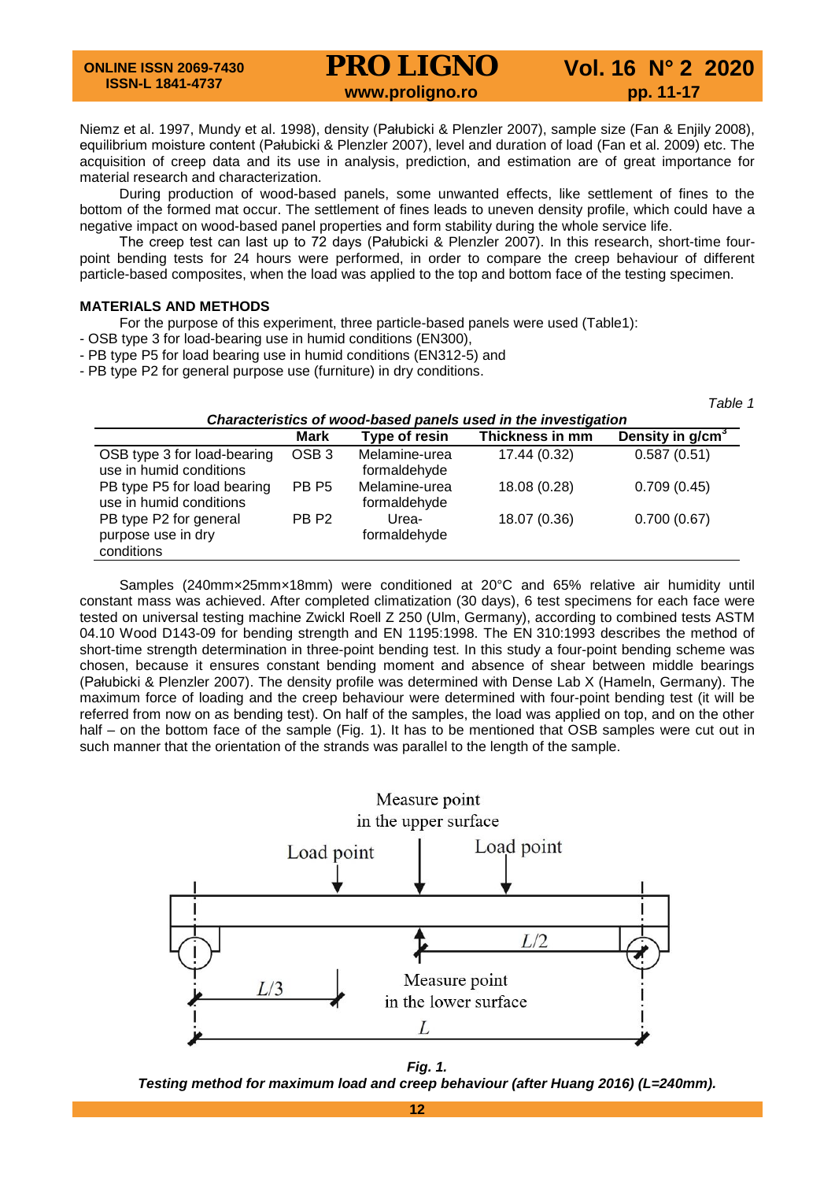## **PRO LIGNO** Vol. 16 N° 2 2020<br>www.proligno.ro pp. 11-17

Niemz et al. 1997, Mundy et al. 1998), density (Pałubicki & Plenzler 2007), sample size (Fan & Enjily 2008), equilibrium moisture content (Pałubicki & Plenzler 2007), level and duration of load (Fan et al. 2009) etc. The acquisition of creep data and its use in analysis, prediction, and estimation are of great importance for material research and characterization.

During production of wood-based panels, some unwanted effects, like settlement of fines to the bottom of the formed mat occur. The settlement of fines leads to uneven density profile, which could have a negative impact on wood-based panel properties and form stability during the whole service life.

The creep test can last up to 72 days (Pałubicki & Plenzler 2007). In this research, short-time fourpoint bending tests for 24 hours were performed, in order to compare the creep behaviour of different particle-based composites, when the load was applied to the top and bottom face of the testing specimen.

## **MATERIALS AND METHODS**

For the purpose of this experiment, three particle-based panels were used (Table1):

- OSB type 3 for load-bearing use in humid conditions (EN300),
- PB type P5 for load bearing use in humid conditions (EN312-5) and

- PB type P2 for general purpose use (furniture) in dry conditions.

|                                                                |                  |                               |                 | Table 1            |  |  |  |  |
|----------------------------------------------------------------|------------------|-------------------------------|-----------------|--------------------|--|--|--|--|
| Characteristics of wood-based panels used in the investigation |                  |                               |                 |                    |  |  |  |  |
|                                                                | <b>Mark</b>      | Type of resin                 | Thickness in mm | Density in $g/cm3$ |  |  |  |  |
| OSB type 3 for load-bearing<br>use in humid conditions         | OSB <sub>3</sub> | Melamine-urea<br>formaldehyde | 17.44 (0.32)    | 0.587(0.51)        |  |  |  |  |
| PB type P5 for load bearing<br>use in humid conditions         | PB <sub>P5</sub> | Melamine-urea<br>formaldehyde | 18.08 (0.28)    | 0.709(0.45)        |  |  |  |  |
| PB type P2 for general<br>purpose use in dry<br>conditions     | PB <sub>P2</sub> | Urea-<br>formaldehyde         | 18.07 (0.36)    | 0.700(0.67)        |  |  |  |  |

Samples (240mm×25mm×18mm) were conditioned at 20°C and 65% relative air humidity until constant mass was achieved. After completed climatization (30 days), 6 test specimens for each face were tested on universal testing machine Zwickl Roell Z 250 (Ulm, Germany), according to combined tests ASTM 04.10 Wood D143-09 for bending strength and EN 1195:1998. The EN 310:1993 describes the method of short-time strength determination in three-point bending test. In this study a four-point bending scheme was chosen, because it ensures constant bending moment and absence of shear between middle bearings (Pałubicki & Plenzler 2007). The density profile was determined with Dense Lab X (Hameln, Germany). The maximum force of loading and the creep behaviour were determined with four-point bending test (it will be referred from now on as bending test). On half of the samples, the load was applied on top, and on the other half – on the bottom face of the sample (Fig. 1). It has to be mentioned that OSB samples were cut out in such manner that the orientation of the strands was parallel to the length of the sample.



*Fig. 1.*

*Testing method for maximum load and creep behaviour (after Huang 2016) (L=240mm).*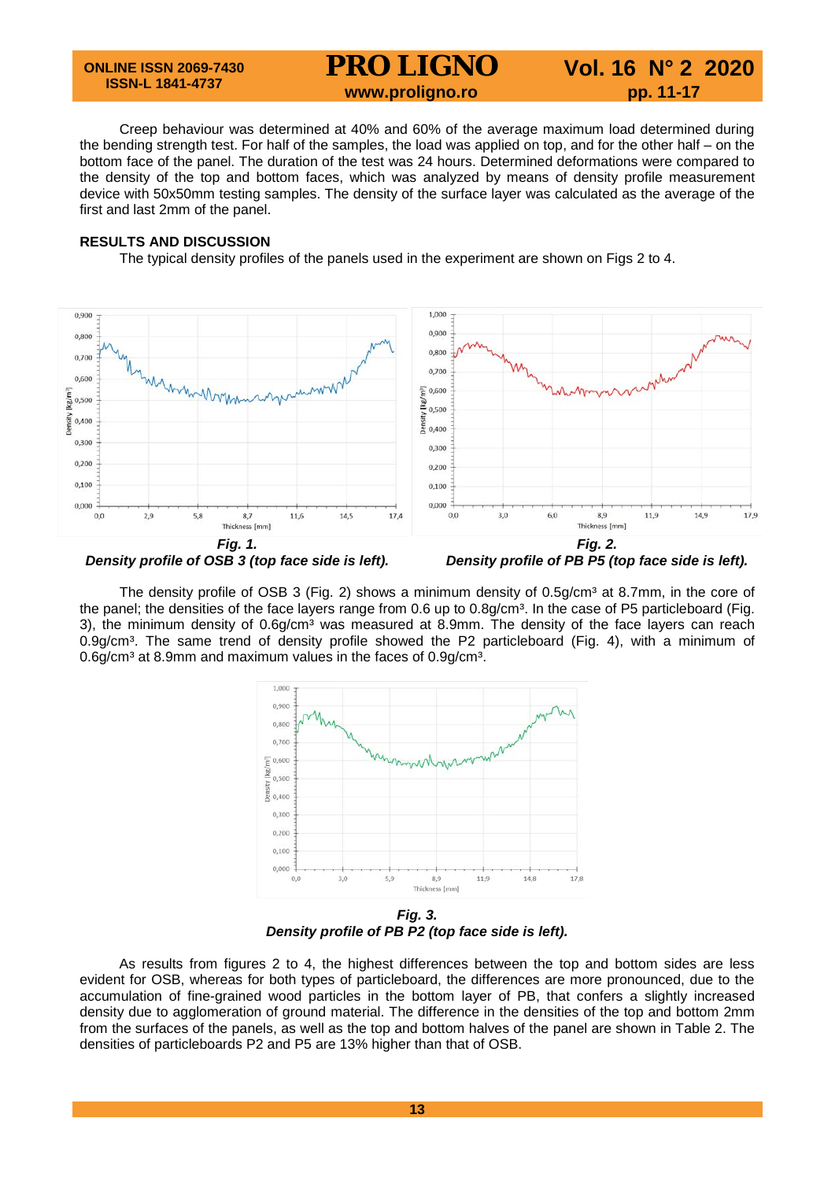#### **ONLINE ISSN 2069-7430 ISSN-L 1841-4737**

## **PRO LIGNO** Vol. 16 N° 2 2020<br>www.proligno.ro pp. 11-17

Creep behaviour was determined at 40% and 60% of the average maximum load determined during the bending strength test. For half of the samples, the load was applied on top, and for the other half – on the bottom face of the panel. The duration of the test was 24 hours. Determined deformations were compared to the density of the top and bottom faces, which was analyzed by means of density profile measurement device with 50x50mm testing samples. The density of the surface layer was calculated as the average of the first and last 2mm of the panel.

## **RESULTS AND DISCUSSION**

The typical density profiles of the panels used in the experiment are shown on Figs 2 to 4.



The density profile of OSB 3 (Fig. 2) shows a minimum density of  $0.5g/cm<sup>3</sup>$  at 8.7mm, in the core of the panel; the densities of the face layers range from 0.6 up to 0.8g/cm<sup>3</sup>. In the case of P5 particleboard (Fig. 3), the minimum density of 0.6g/cm<sup>3</sup> was measured at 8.9mm. The density of the face layers can reach  $0.9q/cm<sup>3</sup>$ . The same trend of density profile showed the P2 particleboard (Fig. 4), with a minimum of 0.6g/cm<sup>3</sup> at 8.9mm and maximum values in the faces of 0.9g/cm<sup>3</sup>.



*Fig. 3. Density profile of PB P2 (top face side is left).*

As results from figures 2 to 4, the highest differences between the top and bottom sides are less evident for OSB, whereas for both types of particleboard, the differences are more pronounced, due to the accumulation of fine-grained wood particles in the bottom layer of PB, that confers a slightly increased density due to agglomeration of ground material. The difference in the densities of the top and bottom 2mm from the surfaces of the panels, as well as the top and bottom halves of the panel are shown in Table 2. The densities of particleboards P2 and P5 are 13% higher than that of OSB.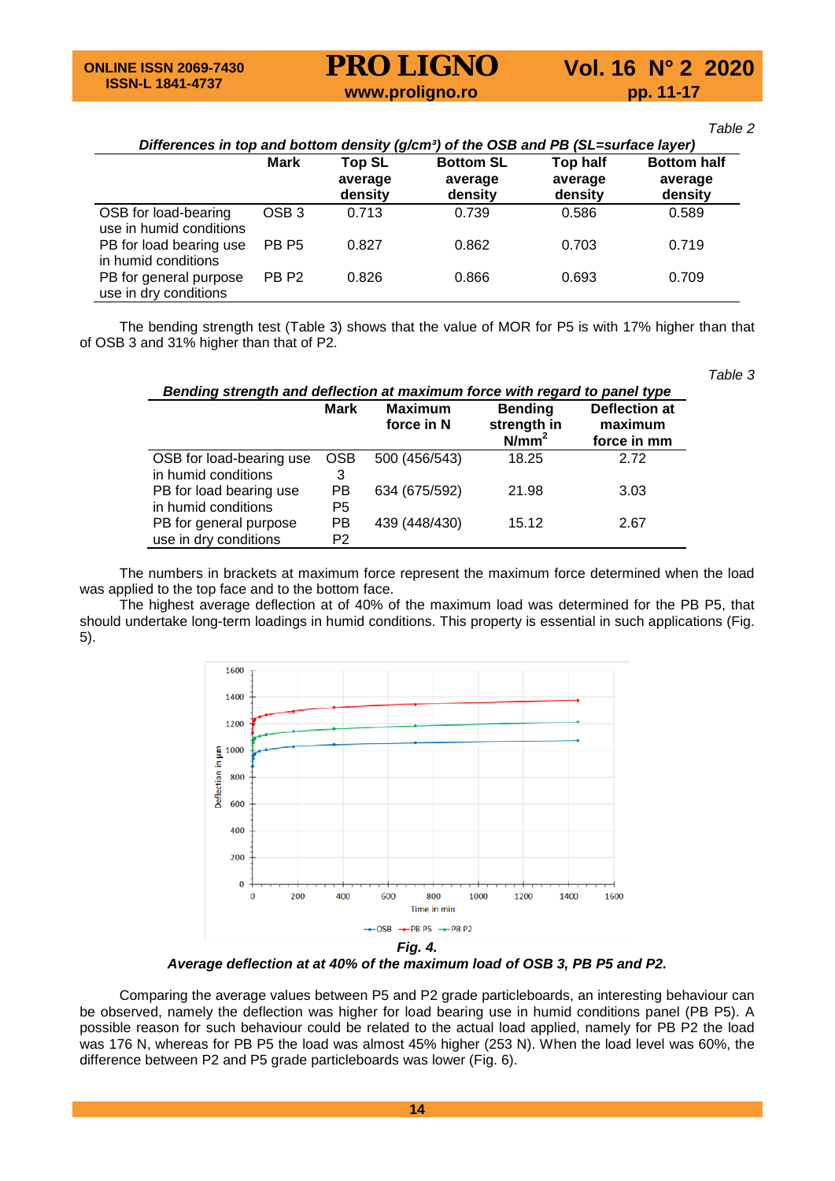# **PRO LIGNO** Vol. 16 N° 2 2020<br>www.proligno.ro pp. 11-17

*Table 2*

*Table 3*

| Differences in top and bottom density (g/cm <sup>3</sup> ) of the OSB and PB (SL=surface layer) |                  |               |                  |          |                    |  |  |
|-------------------------------------------------------------------------------------------------|------------------|---------------|------------------|----------|--------------------|--|--|
|                                                                                                 | <b>Mark</b>      | <b>Top SL</b> | <b>Bottom SL</b> | Top half | <b>Bottom half</b> |  |  |
|                                                                                                 |                  | average       | average          | average  | average            |  |  |
|                                                                                                 |                  | density       | density          | density  | density            |  |  |
| OSB for load-bearing<br>use in humid conditions                                                 | OSB <sub>3</sub> | 0.713         | 0.739            | 0.586    | 0.589              |  |  |
| PB for load bearing use<br>in humid conditions                                                  | PB <sub>P5</sub> | 0.827         | 0.862            | 0.703    | 0.719              |  |  |
| PB for general purpose<br>use in dry conditions                                                 | PB <sub>P2</sub> | 0.826         | 0.866            | 0.693    | 0.709              |  |  |

The bending strength test (Table 3) shows that the value of MOR for P5 is with 17% higher than that of OSB 3 and 31% higher than that of P2.

| Bending strength and deflection at maximum force with regard to panel type |                      |                              |                                           |                                         |  |  |  |
|----------------------------------------------------------------------------|----------------------|------------------------------|-------------------------------------------|-----------------------------------------|--|--|--|
|                                                                            | Mark                 | <b>Maximum</b><br>force in N | <b>Bending</b><br>strength in<br>$N/mm^2$ | Deflection at<br>maximum<br>force in mm |  |  |  |
| OSB for load-bearing use<br>in humid conditions                            | <b>OSB</b><br>3      | 500 (456/543)                | 18.25                                     | 2.72                                    |  |  |  |
| PB for load bearing use<br>in humid conditions                             | РB<br>P <sub>5</sub> | 634 (675/592)                | 21.98                                     | 3.03                                    |  |  |  |
| PB for general purpose<br>use in dry conditions                            | РB<br>P <sub>2</sub> | 439 (448/430)                | 15.12                                     | 2.67                                    |  |  |  |

The numbers in brackets at maximum force represent the maximum force determined when the load was applied to the top face and to the bottom face.

The highest average deflection at of 40% of the maximum load was determined for the PB P5, that should undertake long-term loadings in humid conditions. This property is essential in such applications (Fig. 5).



*Average deflection at at 40% of the maximum load of OSB 3, PB P5 and P2.*

Comparing the average values between P5 and P2 grade particleboards, an interesting behaviour can be observed, namely the deflection was higher for load bearing use in humid conditions panel (PB P5). A possible reason for such behaviour could be related to the actual load applied, namely for PB P2 the load was 176 N, whereas for PB P5 the load was almost 45% higher (253 N). When the load level was 60%, the difference between P2 and P5 grade particleboards was lower (Fig. 6).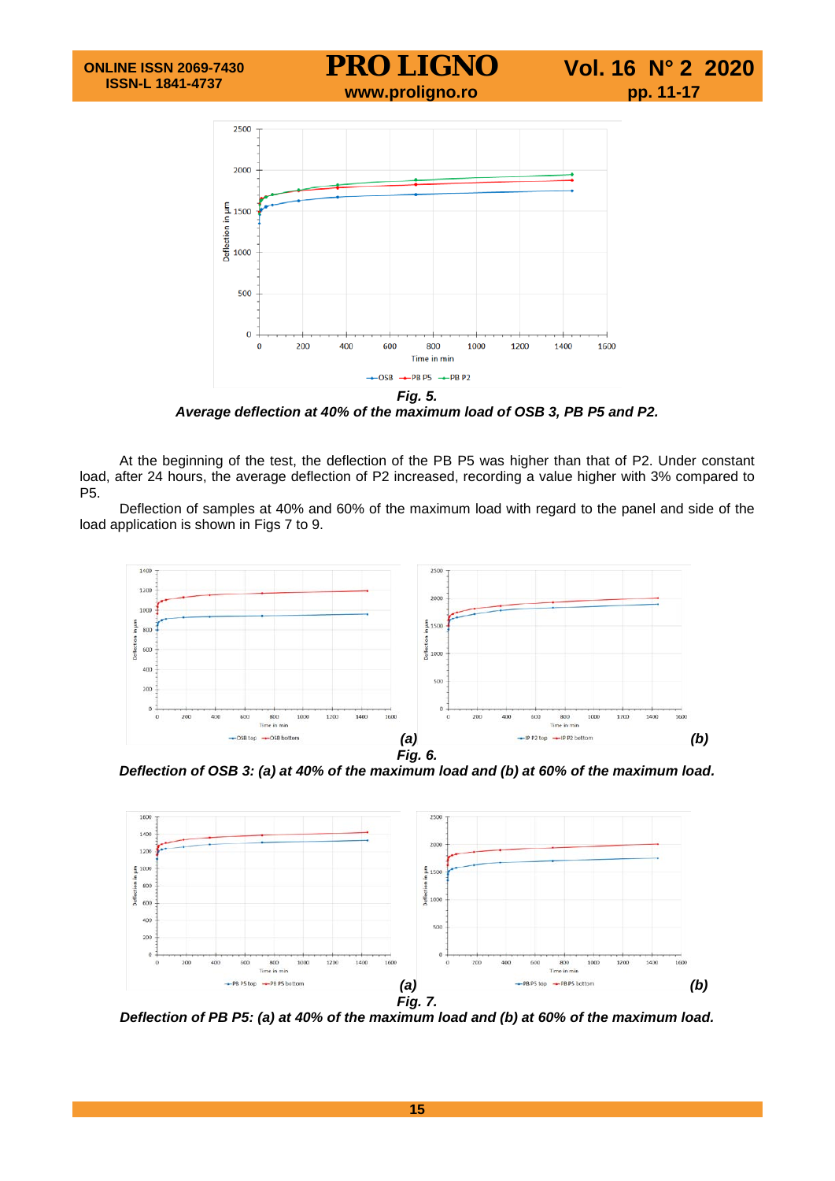

*Fig. 5. Average deflection at 40% of the maximum load of OSB 3, PB P5 and P2.*

At the beginning of the test, the deflection of the PB P5 was higher than that of P2. Under constant load, after 24 hours, the average deflection of P2 increased, recording a value higher with 3% compared to P5.

Deflection of samples at 40% and 60% of the maximum load with regard to the panel and side of the load application is shown in Figs 7 to 9.



*Deflection of OSB 3: (a) at 40% of the maximum load and (b) at 60% of the maximum load.*



*Deflection of PB P5: (a) at 40% of the maximum load and (b) at 60% of the maximum load.*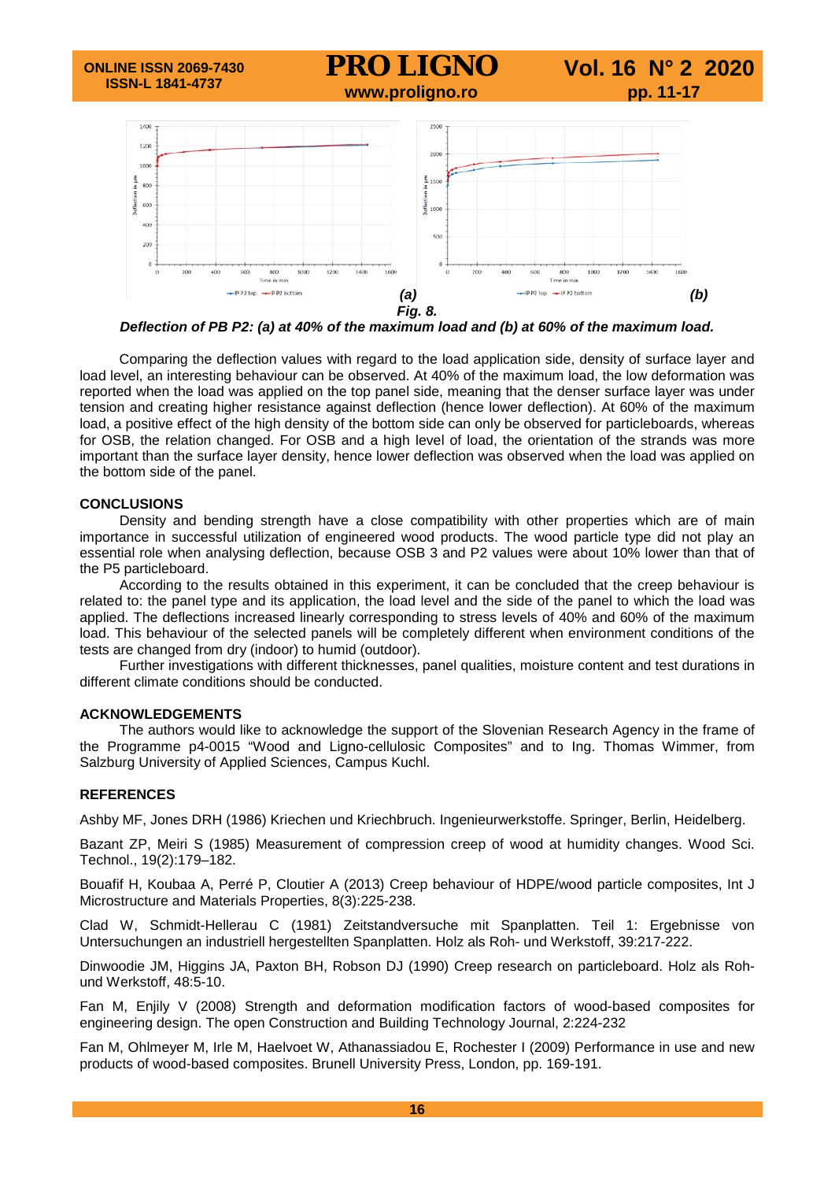

*Deflection of PB P2: (a) at 40% of the maximum load and (b) at 60% of the maximum load.*

Comparing the deflection values with regard to the load application side, density of surface layer and load level, an interesting behaviour can be observed. At 40% of the maximum load, the low deformation was reported when the load was applied on the top panel side, meaning that the denser surface layer was under tension and creating higher resistance against deflection (hence lower deflection). At 60% of the maximum load, a positive effect of the high density of the bottom side can only be observed for particleboards, whereas for OSB, the relation changed. For OSB and a high level of load, the orientation of the strands was more important than the surface layer density, hence lower deflection was observed when the load was applied on the bottom side of the panel.

#### **CONCLUSIONS**

Density and bending strength have a close compatibility with other properties which are of main importance in successful utilization of engineered wood products. The wood particle type did not play an essential role when analysing deflection, because OSB 3 and P2 values were about 10% lower than that of the P5 particleboard.

According to the results obtained in this experiment, it can be concluded that the creep behaviour is related to: the panel type and its application, the load level and the side of the panel to which the load was applied. The deflections increased linearly corresponding to stress levels of 40% and 60% of the maximum load. This behaviour of the selected panels will be completely different when environment conditions of the tests are changed from dry (indoor) to humid (outdoor).

Further investigations with different thicknesses, panel qualities, moisture content and test durations in different climate conditions should be conducted.

#### **ACKNOWLEDGEMENTS**

The authors would like to acknowledge the support of the Slovenian Research Agency in the frame of the Programme p4-0015 "Wood and Ligno-cellulosic Composites" and to Ing. Thomas Wimmer, from Salzburg University of Applied Sciences, Campus Kuchl.

#### **REFERENCES**

Ashby MF, Jones DRH (1986) Kriechen und Kriechbruch. Ingenieurwerkstoffe. Springer, Berlin, Heidelberg.

Bazant ZP, Meiri S (1985) Measurement of compression creep of wood at humidity changes. Wood Sci. Technol., 19(2):179–182.

Bouafif H, Koubaa A, Perré P, Cloutier A (2013) Creep behaviour of HDPE/wood particle composites, Int J Microstructure and Materials Properties, 8(3):225-238.

Clad W, Schmidt-Hellerau C (1981) Zeitstandversuche mit Spanplatten. Teil 1: Ergebnisse von Untersuchungen an industriell hergestellten Spanplatten. Holz als Roh- und Werkstoff, 39:217-222.

Dinwoodie JM, Higgins JA, Paxton BH, Robson DJ (1990) Creep research on particleboard. Holz als Rohund Werkstoff, 48:5-10.

Fan M, Enjily V (2008) Strength and deformation modification factors of wood-based composites for engineering design. The open Construction and Building Technology Journal, 2:224-232

Fan M, Ohlmeyer M, Irle M, Haelvoet W, Athanassiadou E, Rochester I (2009) Performance in use and new products of wood-based composites. Brunell University Press, London, pp. 169-191.